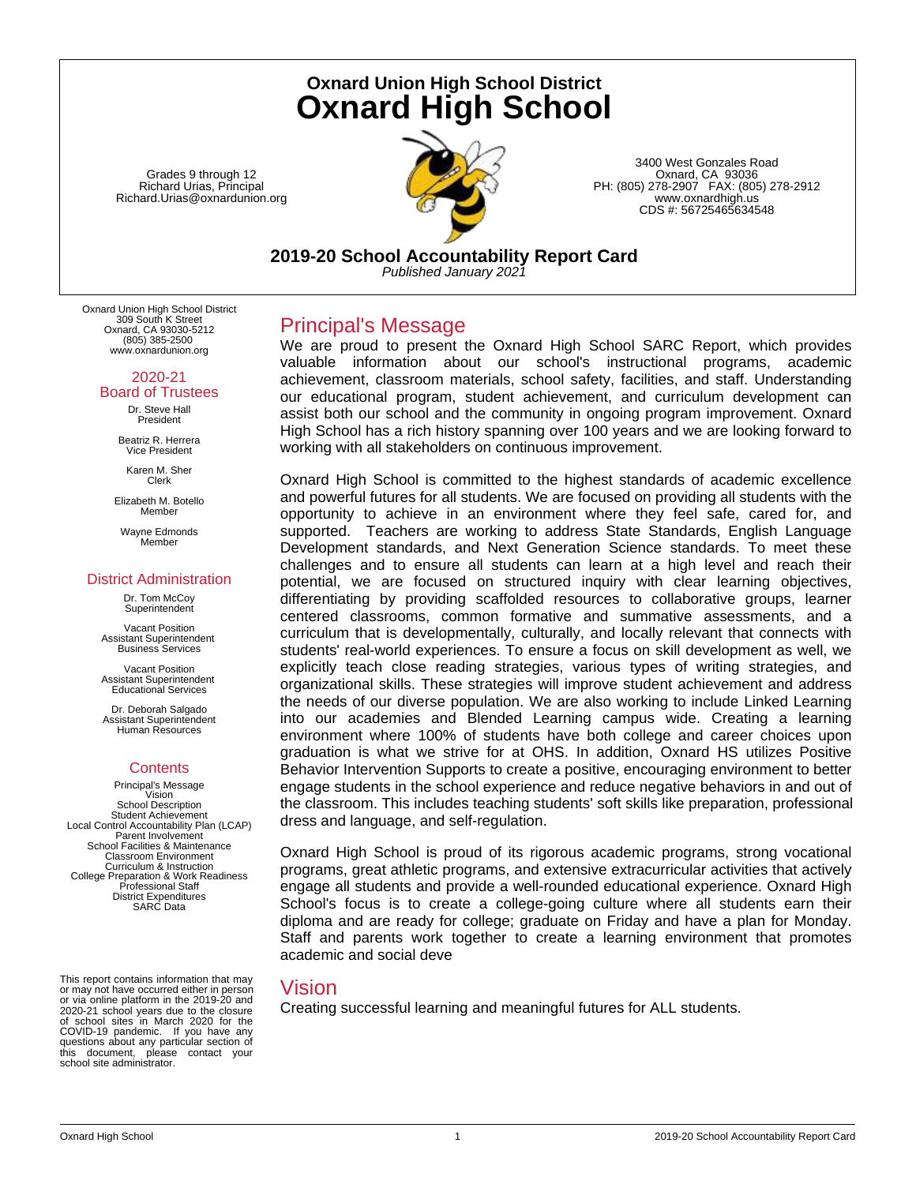Grades 9 through 12 Richard Urias, Principal Richard.Urias@oxnardunion.org

# **Oxnard Union High School District Oxnard High School**



3400 West Gonzales Road Oxnard, CA 93036 PH: (805) 278-2907 FAX: (805) 278-2912 www.oxnardhigh.us CDS #: 56725465634548

**2019-20 School Accountability Report Card**

*Published January 2021*

Oxnard Union High School District 309 South K Street Oxnard, CA 93030-5212 (805) 385-2500 www.oxnardunion.org

#### 2020-21 Board of Trustees

Dr. Steve Hall President

Beatriz R. Herrera Vice President

Karen M. Sher Clerk

Elizabeth M. Botello Member

Wayne Edmonds Member

# District Administration

Dr. Tom McCoy **Superintendent** 

Vacant Position Assistant Superintendent Business Services

Vacant Position Assistant Superintendent Educational Services

Dr. Deborah Salgado Assistant Superintendent Human Resources

## **Contents**

Principal's Message Vision School Description Student Achievement Local Control Accountability Plan (LCAP) Parent Involvement School Facilities & Maintenance Classroom Environment Curriculum & Instruction College Preparation & Work Readiness Professional Staff District Expenditures SARC Data

This report contains information that may or may not have occurred either in person or via online platform in the 2019-20 and 2020-21 school years due to the closure of school sites in March 2020 for the COVID-19 pandemic. If you have any questions about any particular section of this document, please contact your school site administrator.

# Principal's Message

We are proud to present the Oxnard High School SARC Report, which provides valuable information about our school's instructional programs, academic achievement, classroom materials, school safety, facilities, and staff. Understanding our educational program, student achievement, and curriculum development can assist both our school and the community in ongoing program improvement. Oxnard High School has a rich history spanning over 100 years and we are looking forward to working with all stakeholders on continuous improvement.

Oxnard High School is committed to the highest standards of academic excellence and powerful futures for all students. We are focused on providing all students with the opportunity to achieve in an environment where they feel safe, cared for, and supported. Teachers are working to address State Standards, English Language Development standards, and Next Generation Science standards. To meet these challenges and to ensure all students can learn at a high level and reach their potential, we are focused on structured inquiry with clear learning objectives, differentiating by providing scaffolded resources to collaborative groups, learner centered classrooms, common formative and summative assessments, and a curriculum that is developmentally, culturally, and locally relevant that connects with students' real-world experiences. To ensure a focus on skill development as well, we explicitly teach close reading strategies, various types of writing strategies, and organizational skills. These strategies will improve student achievement and address the needs of our diverse population. We are also working to include Linked Learning into our academies and Blended Learning campus wide. Creating a learning environment where 100% of students have both college and career choices upon graduation is what we strive for at OHS. In addition, Oxnard HS utilizes Positive Behavior Intervention Supports to create a positive, encouraging environment to better engage students in the school experience and reduce negative behaviors in and out of the classroom. This includes teaching students' soft skills like preparation, professional dress and language, and self-regulation.

Oxnard High School is proud of its rigorous academic programs, strong vocational programs, great athletic programs, and extensive extracurricular activities that actively engage all students and provide a well-rounded educational experience. Oxnard High School's focus is to create a college-going culture where all students earn their diploma and are ready for college; graduate on Friday and have a plan for Monday. Staff and parents work together to create a learning environment that promotes academic and social deve

# Vision

Creating successful learning and meaningful futures for ALL students.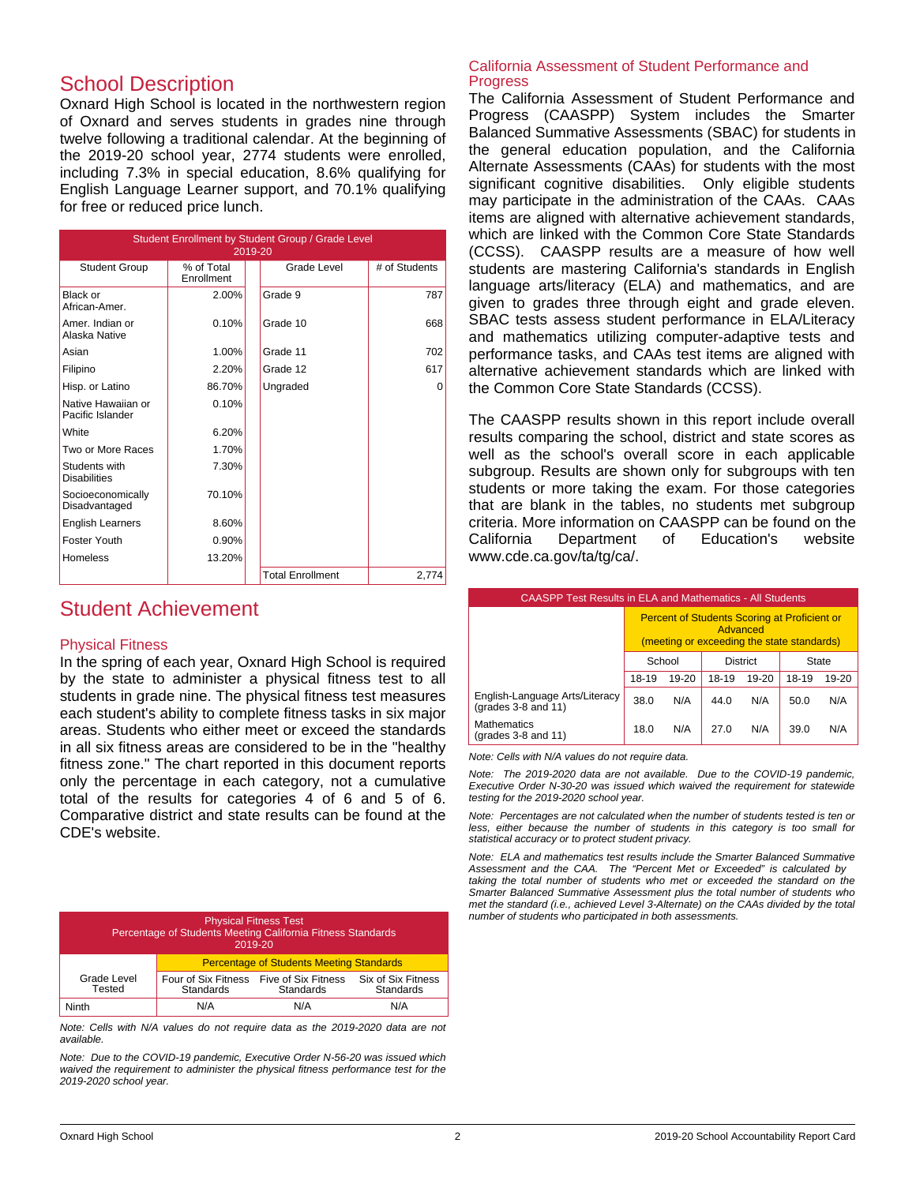# School Description

Oxnard High School is located in the northwestern region of Oxnard and serves students in grades nine through twelve following a traditional calendar. At the beginning of the 2019-20 school year, 2774 students were enrolled, including 7.3% in special education, 8.6% qualifying for English Language Learner support, and 70.1% qualifying for free or reduced price lunch.

| Student Enrollment by Student Group / Grade Level<br>2019-20 |                          |                         |               |  |  |
|--------------------------------------------------------------|--------------------------|-------------------------|---------------|--|--|
| <b>Student Group</b>                                         | % of Total<br>Enrollment | Grade Level             | # of Students |  |  |
| Black or<br>African-Amer.                                    | 2.00%                    | Grade 9                 | 787           |  |  |
| Amer. Indian or<br>Alaska Native                             | 0.10%                    | Grade 10                | 668           |  |  |
| Asian                                                        | 1.00%                    | Grade 11                | 702           |  |  |
| Filipino                                                     | 2.20%                    | Grade 12                | 617           |  |  |
| Hisp. or Latino                                              | 86.70%                   | Ungraded                | 0             |  |  |
| Native Hawaiian or<br>Pacific Islander                       | 0.10%                    |                         |               |  |  |
| White                                                        | 6.20%                    |                         |               |  |  |
| Two or More Races                                            | 1.70%                    |                         |               |  |  |
| Students with<br><b>Disabilities</b>                         | 7.30%                    |                         |               |  |  |
| Socioeconomically<br>Disadvantaged                           | 70.10%                   |                         |               |  |  |
| <b>English Learners</b>                                      | 8.60%                    |                         |               |  |  |
| Foster Youth                                                 | 0.90%                    |                         |               |  |  |
| Homeless                                                     | 13.20%                   |                         |               |  |  |
|                                                              |                          | <b>Total Enrollment</b> | 2,774         |  |  |

# Student Achievement

## Physical Fitness

In the spring of each year, Oxnard High School is required by the state to administer a physical fitness test to all students in grade nine. The physical fitness test measures each student's ability to complete fitness tasks in six major areas. Students who either meet or exceed the standards in all six fitness areas are considered to be in the "healthy fitness zone." The chart reported in this document reports only the percentage in each category, not a cumulative total of the results for categories 4 of 6 and 5 of 6. Comparative district and state results can be found at the CDE's website.

| <b>Physical Fitness Test</b><br>Percentage of Students Meeting California Fitness Standards<br>2019-20 |                                                 |                                         |                                 |  |
|--------------------------------------------------------------------------------------------------------|-------------------------------------------------|-----------------------------------------|---------------------------------|--|
|                                                                                                        | <b>Percentage of Students Meeting Standards</b> |                                         |                                 |  |
| Grade Level<br>Tested                                                                                  | Four of Six Fitness<br>Standards                | Five of Six Fitness<br><b>Standards</b> | Six of Six Fitness<br>Standards |  |
| Ninth                                                                                                  | N/A                                             | N/A                                     | N/A                             |  |

*Note: Cells with N/A values do not require data as the 2019-2020 data are not available.*

*Note: Due to the COVID-19 pandemic, Executive Order N-56-20 was issued which waived the requirement to administer the physical fitness performance test for the 2019-2020 school year.*

#### California Assessment of Student Performance and Progress

The California Assessment of Student Performance and Progress (CAASPP) System includes the Smarter Balanced Summative Assessments (SBAC) for students in the general education population, and the California Alternate Assessments (CAAs) for students with the most significant cognitive disabilities. Only eligible students may participate in the administration of the CAAs. CAAs items are aligned with alternative achievement standards, which are linked with the Common Core State Standards (CCSS). CAASPP results are a measure of how well students are mastering California's standards in English language arts/literacy (ELA) and mathematics, and are given to grades three through eight and grade eleven. SBAC tests assess student performance in ELA/Literacy and mathematics utilizing computer-adaptive tests and performance tasks, and CAAs test items are aligned with alternative achievement standards which are linked with the Common Core State Standards (CCSS).

The CAASPP results shown in this report include overall results comparing the school, district and state scores as well as the school's overall score in each applicable subgroup. Results are shown only for subgroups with ten students or more taking the exam. For those categories that are blank in the tables, no students met subgroup criteria. More information on CAASPP can be found on the California Department of Education's website www.cde.ca.gov/ta/tg/ca/.

| <b>CAASPP Test Results in ELA and Mathematics - All Students</b> |                                                                                                               |     |       |       |       |       |
|------------------------------------------------------------------|---------------------------------------------------------------------------------------------------------------|-----|-------|-------|-------|-------|
|                                                                  | <b>Percent of Students Scoring at Proficient or</b><br>Advanced<br>(meeting or exceeding the state standards) |     |       |       |       |       |
|                                                                  | School<br><b>District</b><br>State                                                                            |     |       |       |       |       |
|                                                                  | 19-20<br>18-19                                                                                                |     | 18-19 | 19-20 | 18-19 | 19-20 |
| English-Language Arts/Literacy<br>(grades $3-8$ and $11$ )       | 38.0                                                                                                          | N/A | 44.0  | N/A   | 50.0  | N/A   |
| <b>Mathematics</b><br>(grades $3-8$ and $11$ )                   | 18.0                                                                                                          | N/A | 27.0  | N/A   | 39.0  | N/A   |

*Note: Cells with N/A values do not require data.*

*Note: The 2019-2020 data are not available. Due to the COVID-19 pandemic, Executive Order N-30-20 was issued which waived the requirement for statewide testing for the 2019-2020 school year.*

*Note: Percentages are not calculated when the number of students tested is ten or less, either because the number of students in this category is too small for statistical accuracy or to protect student privacy.*

*Note: ELA and mathematics test results include the Smarter Balanced Summative Assessment and the CAA. The "Percent Met or Exceeded" is calculated by taking the total number of students who met or exceeded the standard on the Smarter Balanced Summative Assessment plus the total number of students who met the standard (i.e., achieved Level 3-Alternate) on the CAAs divided by the total number of students who participated in both assessments.*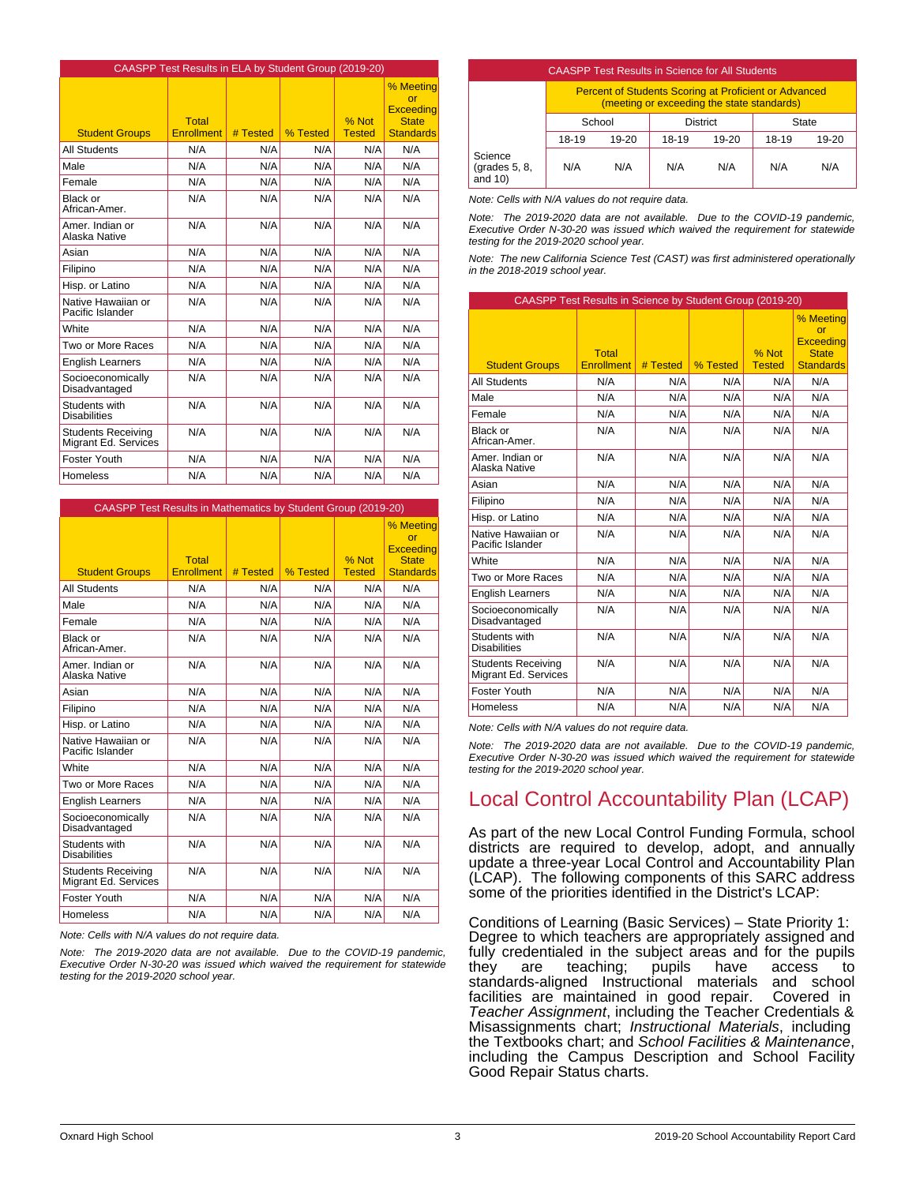|                                                   | CAASPP Test Results in ELA by Student Group (2019-20) |          |          |                        |                                                                         |
|---------------------------------------------------|-------------------------------------------------------|----------|----------|------------------------|-------------------------------------------------------------------------|
| <b>Student Groups</b>                             | Total<br><b>Enrollment</b>                            | # Tested | % Tested | % Not<br><b>Tested</b> | % Meeting<br>or<br><b>Exceeding</b><br><b>State</b><br><b>Standards</b> |
| <b>All Students</b>                               | N/A                                                   | N/A      | N/A      | N/A                    | N/A                                                                     |
| Male                                              | N/A                                                   | N/A      | N/A      | N/A                    | N/A                                                                     |
| Female                                            | N/A                                                   | N/A      | N/A      | N/A                    | N/A                                                                     |
| <b>Black or</b><br>African-Amer.                  | N/A                                                   | N/A      | N/A      | N/A                    | N/A                                                                     |
| Amer, Indian or<br>Alaska Native                  | N/A                                                   | N/A      | N/A      | N/A                    | N/A                                                                     |
| Asian                                             | N/A                                                   | N/A      | N/A      | N/A                    | N/A                                                                     |
| Filipino                                          | N/A                                                   | N/A      | N/A      | N/A                    | N/A                                                                     |
| Hisp. or Latino                                   | N/A                                                   | N/A      | N/A      | N/A                    | N/A                                                                     |
| Native Hawaiian or<br>Pacific Islander            | N/A                                                   | N/A      | N/A      | N/A                    | N/A                                                                     |
| White                                             | N/A                                                   | N/A      | N/A      | N/A                    | N/A                                                                     |
| Two or More Races                                 | N/A                                                   | N/A      | N/A      | N/A                    | N/A                                                                     |
| <b>English Learners</b>                           | N/A                                                   | N/A      | N/A      | N/A                    | N/A                                                                     |
| Socioeconomically<br>Disadvantaged                | N/A                                                   | N/A      | N/A      | N/A                    | N/A                                                                     |
| Students with<br><b>Disabilities</b>              | N/A                                                   | N/A      | N/A      | N/A                    | N/A                                                                     |
| <b>Students Receiving</b><br>Migrant Ed. Services | N/A                                                   | N/A      | N/A      | N/A                    | N/A                                                                     |
| Foster Youth                                      | N/A                                                   | N/A      | N/A      | N/A                    | N/A                                                                     |
| Homeless                                          | N/A                                                   | N/A      | N/A      | N/A                    | N/A                                                                     |

| CAASPP Test Results in Mathematics by Student Group (2019-20) |                                   |          |          |                        |                                                                                 |
|---------------------------------------------------------------|-----------------------------------|----------|----------|------------------------|---------------------------------------------------------------------------------|
| <b>Student Groups</b>                                         | <b>Total</b><br><b>Enrollment</b> | # Tested | % Tested | % Not<br><b>Tested</b> | % Meeting<br>$\alpha$ r<br><b>Exceeding</b><br><b>State</b><br><b>Standards</b> |
| <b>All Students</b>                                           | N/A                               | N/A      | N/A      | N/A                    | N/A                                                                             |
| Male                                                          | N/A                               | N/A      | N/A      | N/A                    | N/A                                                                             |
| Female                                                        | N/A                               | N/A      | N/A      | N/A                    | N/A                                                                             |
| Black or<br>African-Amer.                                     | N/A                               | N/A      | N/A      | N/A                    | N/A                                                                             |
| Amer, Indian or<br>Alaska Native                              | N/A                               | N/A      | N/A      | N/A                    | N/A                                                                             |
| Asian                                                         | N/A                               | N/A      | N/A      | N/A                    | N/A                                                                             |
| Filipino                                                      | N/A                               | N/A      | N/A      | N/A                    | N/A                                                                             |
| Hisp. or Latino                                               | N/A                               | N/A      | N/A      | N/A                    | N/A                                                                             |
| Native Hawaiian or<br>Pacific Islander                        | N/A                               | N/A      | N/A      | N/A                    | N/A                                                                             |
| White                                                         | N/A                               | N/A      | N/A      | N/A                    | N/A                                                                             |
| Two or More Races                                             | N/A                               | N/A      | N/A      | N/A                    | N/A                                                                             |
| <b>English Learners</b>                                       | N/A                               | N/A      | N/A      | N/A                    | N/A                                                                             |
| Socioeconomically<br>Disadvantaged                            | N/A                               | N/A      | N/A      | N/A                    | N/A                                                                             |
| Students with<br><b>Disabilities</b>                          | N/A                               | N/A      | N/A      | N/A                    | N/A                                                                             |
| <b>Students Receiving</b><br>Migrant Ed. Services             | N/A                               | N/A      | N/A      | N/A                    | N/A                                                                             |
| Foster Youth                                                  | N/A                               | N/A      | N/A      | N/A                    | N/A                                                                             |
| <b>Homeless</b>                                               | N/A                               | N/A      | N/A      | N/A                    | N/A                                                                             |

*Note: Cells with N/A values do not require data.*

*Note: The 2019-2020 data are not available. Due to the COVID-19 pandemic, Executive Order N-30-20 was issued which waived the requirement for statewide testing for the 2019-2020 school year.*

| <b>CAASPP Test Results in Science for All Students</b> |                                                                                                            |         |       |           |       |         |
|--------------------------------------------------------|------------------------------------------------------------------------------------------------------------|---------|-------|-----------|-------|---------|
|                                                        | <b>Percent of Students Scoring at Proficient or Advanced</b><br>(meeting or exceeding the state standards) |         |       |           |       |         |
|                                                        | <b>District</b><br>School                                                                                  |         |       | State     |       |         |
|                                                        | 18-19                                                                                                      | $19-20$ | 18-19 | $19 - 20$ | 18-19 | $19-20$ |
| Science<br>(grades $5, 8$ ,<br>and $10$ )              | N/A                                                                                                        | N/A     | N/A   | N/A       | N/A   | N/A     |

*Note: Cells with N/A values do not require data.*

*Note: The 2019-2020 data are not available. Due to the COVID-19 pandemic, Executive Order N-30-20 was issued which waived the requirement for statewide testing for the 2019-2020 school year.*

*Note: The new California Science Test (CAST) was first administered operationally in the 2018-2019 school year.*

| CAASPP Test Results in Science by Student Group (2019-20) |                            |          |          |                        |                                                                                 |
|-----------------------------------------------------------|----------------------------|----------|----------|------------------------|---------------------------------------------------------------------------------|
| <b>Student Groups</b>                                     | Total<br><b>Enrollment</b> | # Tested | % Tested | % Not<br><b>Tested</b> | % Meeting<br>$\alpha$ r<br><b>Exceeding</b><br><b>State</b><br><b>Standards</b> |
| <b>All Students</b>                                       | N/A                        | N/A      | N/A      | N/A                    | N/A                                                                             |
| Male                                                      | N/A                        | N/A      | N/A      | N/A                    | N/A                                                                             |
| Female                                                    | N/A                        | N/A      | N/A      | N/A                    | N/A                                                                             |
| <b>Black or</b><br>African-Amer.                          | N/A                        | N/A      | N/A      | N/A                    | N/A                                                                             |
| Amer, Indian or<br>Alaska Native                          | N/A                        | N/A      | N/A      | N/A                    | N/A                                                                             |
| Asian                                                     | N/A                        | N/A      | N/A      | N/A                    | N/A                                                                             |
| Filipino                                                  | N/A                        | N/A      | N/A      | N/A                    | N/A                                                                             |
| Hisp. or Latino                                           | N/A                        | N/A      | N/A      | N/A                    | N/A                                                                             |
| Native Hawaiian or<br>Pacific Islander                    | N/A                        | N/A      | N/A      | N/A                    | N/A                                                                             |
| White                                                     | N/A                        | N/A      | N/A      | N/A                    | N/A                                                                             |
| Two or More Races                                         | N/A                        | N/A      | N/A      | N/A                    | N/A                                                                             |
| <b>English Learners</b>                                   | N/A                        | N/A      | N/A      | N/A                    | N/A                                                                             |
| Socioeconomically<br>Disadvantaged                        | N/A                        | N/A      | N/A      | N/A                    | N/A                                                                             |
| Students with<br><b>Disabilities</b>                      | N/A                        | N/A      | N/A      | N/A                    | N/A                                                                             |
| <b>Students Receiving</b><br>Migrant Ed. Services         | N/A                        | N/A      | N/A      | N/A                    | N/A                                                                             |
| Foster Youth                                              | N/A                        | N/A      | N/A      | N/A                    | N/A                                                                             |
| Homeless                                                  | N/A                        | N/A      | N/A      | N/A                    | N/A                                                                             |

*Note: Cells with N/A values do not require data.*

*Note: The 2019-2020 data are not available. Due to the COVID-19 pandemic, Executive Order N-30-20 was issued which waived the requirement for statewide testing for the 2019-2020 school year.*

# Local Control Accountability Plan (LCAP)

As part of the new Local Control Funding Formula, school districts are required to develop, adopt, and annually update a three-year Local Control and Accountability Plan (LCAP). The following components of this SARC address some of the priorities identified in the District's LCAP:

Conditions of Learning (Basic Services) – State Priority 1: Degree to which teachers are appropriately assigned and fully credentialed in the subject areas and for the pupils they are teaching; pupils have access to standards-aligned Instructional materials and school facilities are maintained in good repair. Covered in *Teacher Assignment*, including the Teacher Credentials & Misassignments chart; *Instructional Materials*, including the Textbooks chart; and *School Facilities & Maintenance*, including the Campus Description and School Facility Good Repair Status charts.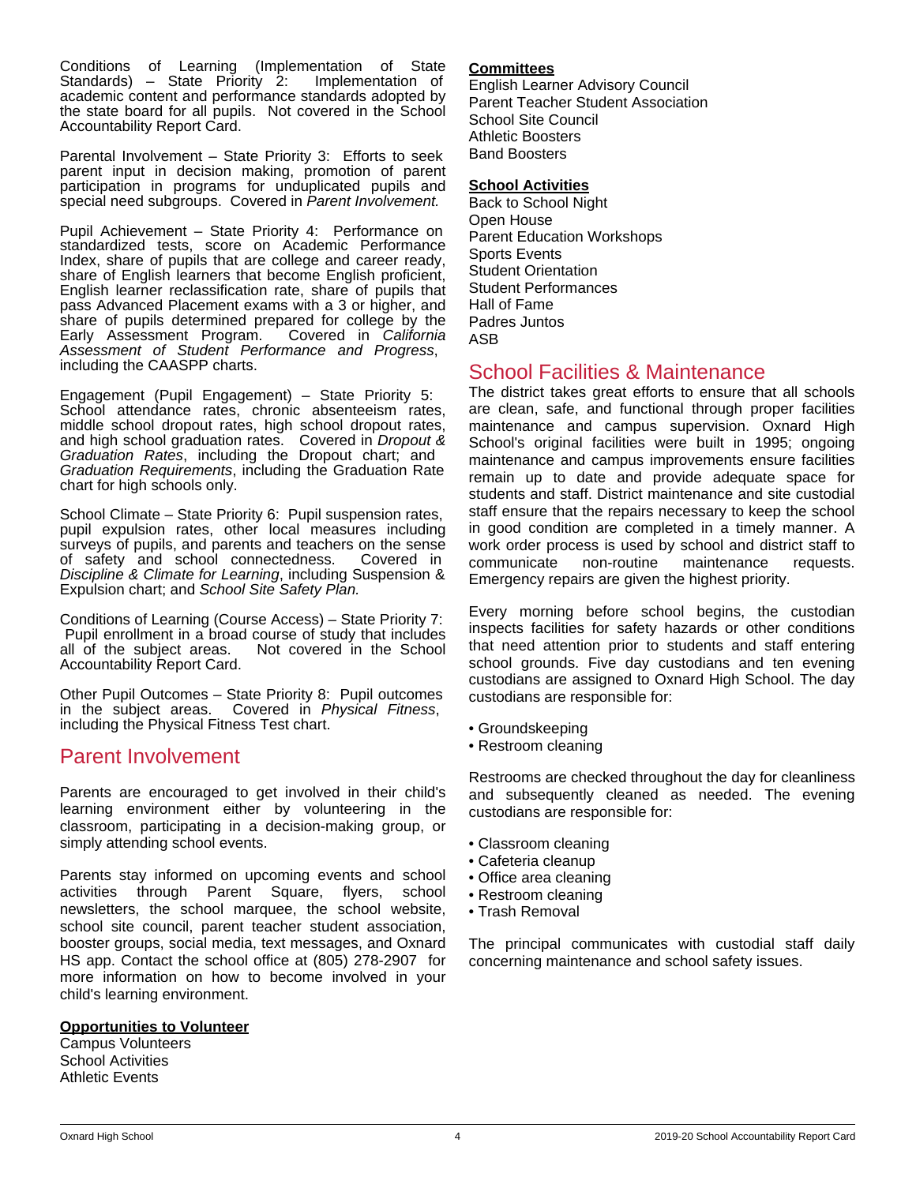Conditions of Learning (Implementation of State Standards) – State Priority 2: academic content and performance standards adopted by the state board for all pupils. Not covered in the School Accountability Report Card.

Parental Involvement – State Priority 3: Efforts to seek parent input in decision making, promotion of parent participation in programs for unduplicated pupils and special need subgroups. Covered in *Parent Involvement.*

Pupil Achievement – State Priority 4: Performance on standardized tests, score on Academic Performance Index, share of pupils that are college and career ready, share of English learners that become English proficient, English learner reclassification rate, share of pupils that pass Advanced Placement exams with a 3 or higher, and share of pupils determined prepared for college by the Early Assessment Program. Covered in California Early Assessment Program. *Assessment of Student Performance and Progress*, including the CAASPP charts.

Engagement (Pupil Engagement) – State Priority 5: School attendance rates, chronic absenteeism rates, middle school dropout rates, high school dropout rates, and high school graduation rates. Covered in *Dropout & Graduation Rates*, including the Dropout chart; and *Graduation Requirements*, including the Graduation Rate chart for high schools only.

School Climate – State Priority 6: Pupil suspension rates, pupil expulsion rates, other local measures including surveys of pupils, and parents and teachers on the sense of safety and school connectedness. Covered in *Discipline & Climate for Learning*, including Suspension & Expulsion chart; and *School Site Safety Plan.*

Conditions of Learning (Course Access) – State Priority 7: Pupil enrollment in a broad course of study that includes<br>all of the subject areas. Not covered in the School Not covered in the School Accountability Report Card.

Other Pupil Outcomes – State Priority 8: Pupil outcomes in the subject areas. Covered in *Physical Fitness*, including the Physical Fitness Test chart.

# Parent Involvement

Parents are encouraged to get involved in their child's learning environment either by volunteering in the classroom, participating in a decision-making group, or simply attending school events.

Parents stay informed on upcoming events and school activities through Parent Square, flyers, school newsletters, the school marquee, the school website, school site council, parent teacher student association, booster groups, social media, text messages, and Oxnard HS app. Contact the school office at (805) 278-2907 for more information on how to become involved in your child's learning environment.

# **Opportunities to Volunteer**

Campus Volunteers School Activities Athletic Events

## **Committees**

English Learner Advisory Council Parent Teacher Student Association School Site Council Athletic Boosters Band Boosters

## **School Activities**

Back to School Night Open House Parent Education Workshops Sports Events Student Orientation Student Performances Hall of Fame Padres Juntos ASB

# School Facilities & Maintenance

The district takes great efforts to ensure that all schools are clean, safe, and functional through proper facilities maintenance and campus supervision. Oxnard High School's original facilities were built in 1995; ongoing maintenance and campus improvements ensure facilities remain up to date and provide adequate space for students and staff. District maintenance and site custodial staff ensure that the repairs necessary to keep the school in good condition are completed in a timely manner. A work order process is used by school and district staff to communicate non-routine maintenance requests. communicate non-routine maintenance requests. Emergency repairs are given the highest priority.

Every morning before school begins, the custodian inspects facilities for safety hazards or other conditions that need attention prior to students and staff entering school grounds. Five day custodians and ten evening custodians are assigned to Oxnard High School. The day custodians are responsible for:

- Groundskeeping
- Restroom cleaning

Restrooms are checked throughout the day for cleanliness and subsequently cleaned as needed. The evening custodians are responsible for:

- Classroom cleaning
- Cafeteria cleanup
- Office area cleaning
- Restroom cleaning
- Trash Removal

The principal communicates with custodial staff daily concerning maintenance and school safety issues.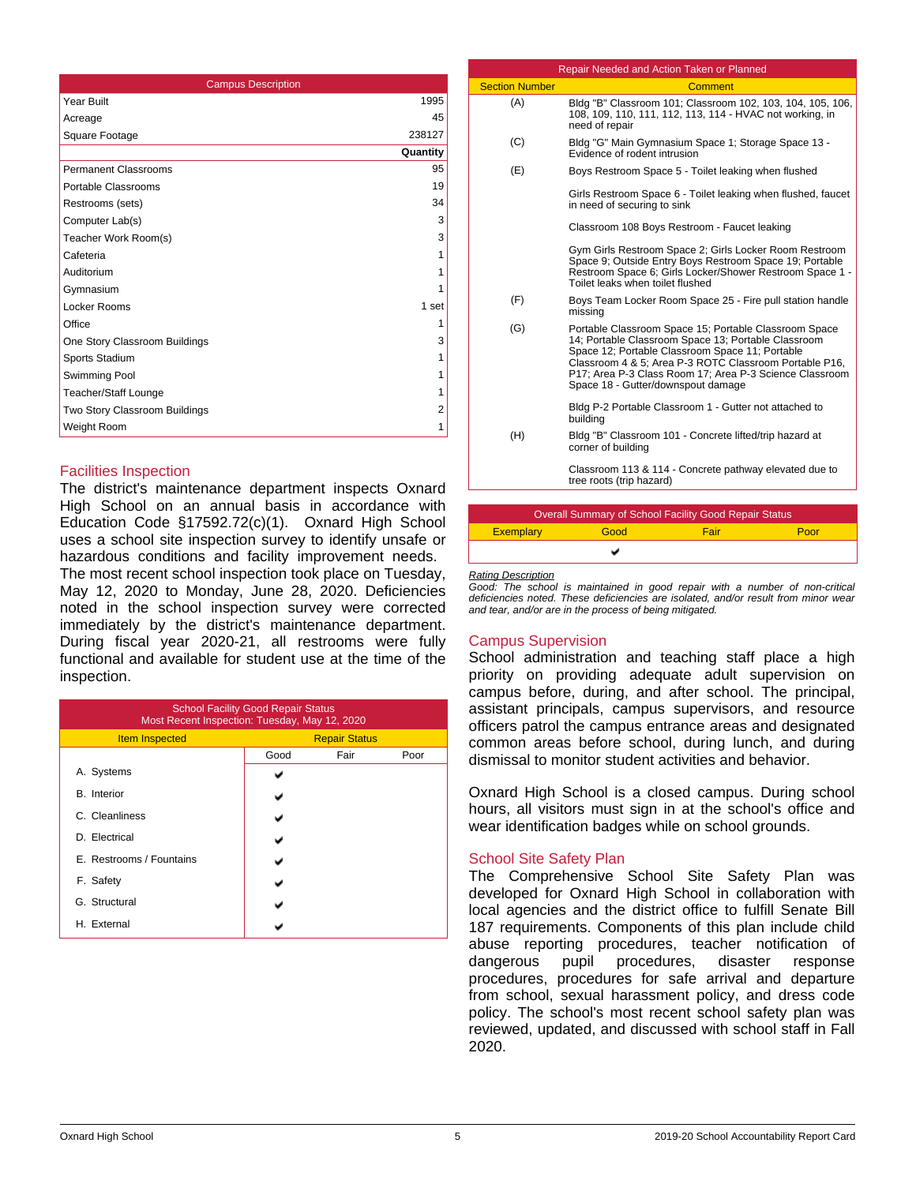| <b>Campus Description</b>     |          |
|-------------------------------|----------|
| Year Built                    | 1995     |
| Acreage                       | 45       |
| Square Footage                | 238127   |
|                               | Quantity |
| <b>Permanent Classrooms</b>   | 95       |
| Portable Classrooms           | 19       |
| Restrooms (sets)              | 34       |
| Computer Lab(s)               | 3        |
| Teacher Work Room(s)          | 3        |
| Cafeteria                     | 1        |
| Auditorium                    | 1        |
| Gymnasium                     | 1        |
| Locker Rooms                  | 1 set    |
| Office                        | 1        |
| One Story Classroom Buildings | 3        |
| Sports Stadium                | 1        |
| Swimming Pool                 | 1        |
| Teacher/Staff Lounge          | 1        |
| Two Story Classroom Buildings | 2        |
| Weight Room                   | 1        |

## Facilities Inspection

The district's maintenance department inspects Oxnard High School on an annual basis in accordance with Education Code §17592.72(c)(1). Oxnard High School uses a school site inspection survey to identify unsafe or hazardous conditions and facility improvement needs.

The most recent school inspection took place on Tuesday, May 12, 2020 to Monday, June 28, 2020. Deficiencies noted in the school inspection survey were corrected immediately by the district's maintenance department. During fiscal year 2020-21, all restrooms were fully functional and available for student use at the time of the inspection.

| <b>School Facility Good Repair Status</b><br>Most Recent Inspection: Tuesday, May 12, 2020 |                      |      |      |  |  |
|--------------------------------------------------------------------------------------------|----------------------|------|------|--|--|
| <b>Item Inspected</b>                                                                      | <b>Repair Status</b> |      |      |  |  |
|                                                                                            | Good                 | Fair | Poor |  |  |
| A. Systems                                                                                 |                      |      |      |  |  |
| <b>B.</b> Interior                                                                         |                      |      |      |  |  |
| C. Cleanliness                                                                             |                      |      |      |  |  |
| D. Electrical                                                                              |                      |      |      |  |  |
| E. Restrooms / Fountains                                                                   |                      |      |      |  |  |
| F. Safety                                                                                  |                      |      |      |  |  |
| G. Structural                                                                              |                      |      |      |  |  |
| H. External                                                                                |                      |      |      |  |  |

|                       | Repair Needed and Action Taken or Planned                                                                                                                                                                                                                                                                                  |
|-----------------------|----------------------------------------------------------------------------------------------------------------------------------------------------------------------------------------------------------------------------------------------------------------------------------------------------------------------------|
| <b>Section Number</b> | Comment                                                                                                                                                                                                                                                                                                                    |
| (A)                   | Bldg "B" Classroom 101; Classroom 102, 103, 104, 105, 106,<br>108, 109, 110, 111, 112, 113, 114 - HVAC not working, in<br>need of repair                                                                                                                                                                                   |
| (C)                   | Bldg "G" Main Gymnasium Space 1; Storage Space 13 -<br>Evidence of rodent intrusion                                                                                                                                                                                                                                        |
| (E)                   | Boys Restroom Space 5 - Toilet leaking when flushed                                                                                                                                                                                                                                                                        |
|                       | Girls Restroom Space 6 - Toilet leaking when flushed, faucet<br>in need of securing to sink                                                                                                                                                                                                                                |
|                       | Classroom 108 Boys Restroom - Faucet leaking                                                                                                                                                                                                                                                                               |
|                       | Gym Girls Restroom Space 2; Girls Locker Room Restroom<br>Space 9; Outside Entry Boys Restroom Space 19; Portable<br>Restroom Space 6; Girls Locker/Shower Restroom Space 1 -<br>Toilet leaks when toilet flushed                                                                                                          |
| (F)                   | Boys Team Locker Room Space 25 - Fire pull station handle<br>missing                                                                                                                                                                                                                                                       |
| (G)                   | Portable Classroom Space 15; Portable Classroom Space<br>14; Portable Classroom Space 13; Portable Classroom<br>Space 12; Portable Classroom Space 11; Portable<br>Classroom 4 & 5; Area P-3 ROTC Classroom Portable P16,<br>P17; Area P-3 Class Room 17; Area P-3 Science Classroom<br>Space 18 - Gutter/downspout damage |
|                       | Bldg P-2 Portable Classroom 1 - Gutter not attached to<br>building                                                                                                                                                                                                                                                         |
| (H)                   | Bldg "B" Classroom 101 - Concrete lifted/trip hazard at<br>corner of building                                                                                                                                                                                                                                              |
|                       | Classroom 113 & 114 - Concrete pathway elevated due to<br>tree roots (trip hazard)                                                                                                                                                                                                                                         |

| <b>Overall Summary of School Facility Good Repair Status</b> |      |      |      |  |  |
|--------------------------------------------------------------|------|------|------|--|--|
| <b>Exemplary</b>                                             | Good | Fair | Poor |  |  |
|                                                              |      |      |      |  |  |

*Rating Description*

*Good: The school is maintained in good repair with a number of non-critical deficiencies noted. These deficiencies are isolated, and/or result from minor wear and tear, and/or are in the process of being mitigated.*

## Campus Supervision

School administration and teaching staff place a high priority on providing adequate adult supervision on campus before, during, and after school. The principal, assistant principals, campus supervisors, and resource officers patrol the campus entrance areas and designated common areas before school, during lunch, and during dismissal to monitor student activities and behavior.

Oxnard High School is a closed campus. During school hours, all visitors must sign in at the school's office and wear identification badges while on school grounds.

# School Site Safety Plan

The Comprehensive School Site Safety Plan was developed for Oxnard High School in collaboration with local agencies and the district office to fulfill Senate Bill 187 requirements. Components of this plan include child abuse reporting procedures, teacher notification of dangerous pupil procedures, disaster response procedures, procedures for safe arrival and departure from school, sexual harassment policy, and dress code policy. The school's most recent school safety plan was reviewed, updated, and discussed with school staff in Fall 2020.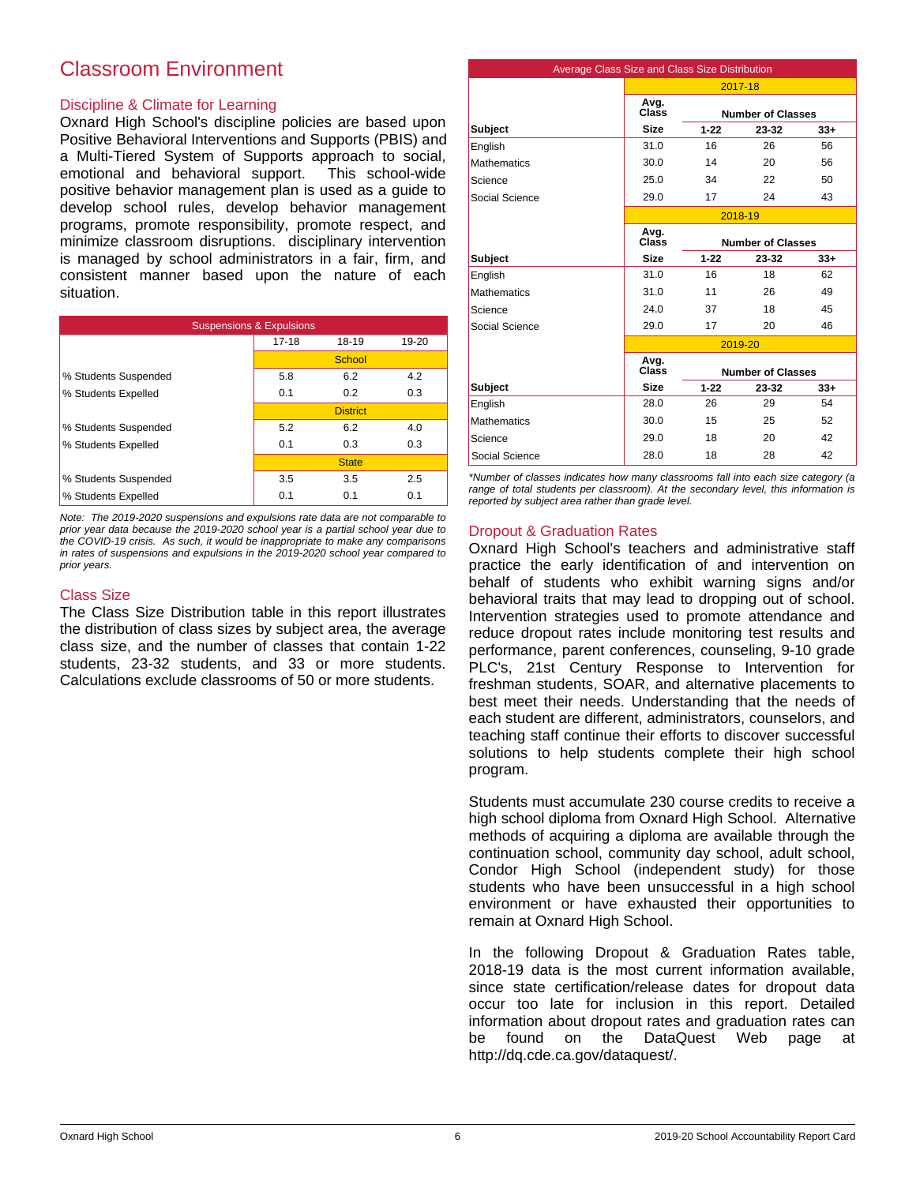# Classroom Environment

# Discipline & Climate for Learning

Oxnard High School's discipline policies are based upon Positive Behavioral Interventions and Supports (PBIS) and a Multi-Tiered System of Supports approach to social, emotional and behavioral support. This school-wide positive behavior management plan is used as a guide to develop school rules, develop behavior management programs, promote responsibility, promote respect, and minimize classroom disruptions. disciplinary intervention is managed by school administrators in a fair, firm, and consistent manner based upon the nature of each situation.

| <b>Suspensions &amp; Expulsions</b> |           |                 |       |  |  |
|-------------------------------------|-----------|-----------------|-------|--|--|
|                                     | $17 - 18$ | 18-19           | 19-20 |  |  |
|                                     |           | School          |       |  |  |
| % Students Suspended                | 5.8       | 6.2             | 4.2   |  |  |
| % Students Expelled                 | 0.1       | 0.2             | 0.3   |  |  |
|                                     |           | <b>District</b> |       |  |  |
| % Students Suspended                | 5.2       | 6.2             | 4.0   |  |  |
| % Students Expelled                 | 0.1       | 0.3             | 0.3   |  |  |
|                                     |           | <b>State</b>    |       |  |  |
| % Students Suspended                | 3.5       | 3.5             | 2.5   |  |  |
| % Students Expelled                 | 0.1       | 0.1             | 0.1   |  |  |

*Note: The 2019-2020 suspensions and expulsions rate data are not comparable to prior year data because the 2019-2020 school year is a partial school year due to the COVID-19 crisis. As such, it would be inappropriate to make any comparisons in rates of suspensions and expulsions in the 2019-2020 school year compared to prior years.*

## Class Size

The Class Size Distribution table in this report illustrates the distribution of class sizes by subject area, the average class size, and the number of classes that contain 1-22 students, 23-32 students, and 33 or more students. Calculations exclude classrooms of 50 or more students.

| Average Class Size and Class Size Distribution |               |          |                          |       |
|------------------------------------------------|---------------|----------|--------------------------|-------|
|                                                | 2017-18       |          |                          |       |
|                                                | Avg.<br>Class |          | <b>Number of Classes</b> |       |
| <b>Subject</b>                                 | <b>Size</b>   | $1 - 22$ | 23-32                    | $33+$ |
| English                                        | 31.0          | 16       | 26                       | 56    |
| <b>Mathematics</b>                             | 30.0          | 14       | 20                       | 56    |
| Science                                        | 25.0          | 34       | 22                       | 50    |
| Social Science                                 | 29.0          | 17       | 24                       | 43    |
|                                                |               |          | 2018-19                  |       |
|                                                | Avg.<br>Class |          | <b>Number of Classes</b> |       |
| <b>Subject</b>                                 | <b>Size</b>   | $1 - 22$ | 23-32                    | $33+$ |
| English                                        | 31.0          | 16       | 18                       | 62    |
| <b>Mathematics</b>                             | 31.0          | 11       | 26                       | 49    |
| Science                                        | 24.0          | 37       | 18                       | 45    |
| Social Science                                 | 29.0          | 17       | 20                       | 46    |
|                                                |               |          | 2019-20                  |       |
|                                                | Avg.<br>Class |          | <b>Number of Classes</b> |       |
| <b>Subject</b>                                 | <b>Size</b>   | $1 - 22$ | 23-32                    | $33+$ |
| English                                        | 28.0          | 26       | 29                       | 54    |
| <b>Mathematics</b>                             | 30.0          | 15       | 25                       | 52    |
| Science                                        | 29.0          | 18       | 20                       | 42    |
| Social Science                                 | 28.0          | 18       | 28                       | 42    |

*\*Number of classes indicates how many classrooms fall into each size category (a range of total students per classroom). At the secondary level, this information is reported by subject area rather than grade level.*

# Dropout & Graduation Rates

Oxnard High School's teachers and administrative staff practice the early identification of and intervention on behalf of students who exhibit warning signs and/or behavioral traits that may lead to dropping out of school. Intervention strategies used to promote attendance and reduce dropout rates include monitoring test results and performance, parent conferences, counseling, 9-10 grade PLC's, 21st Century Response to Intervention for freshman students, SOAR, and alternative placements to best meet their needs. Understanding that the needs of each student are different, administrators, counselors, and teaching staff continue their efforts to discover successful solutions to help students complete their high school program.

Students must accumulate 230 course credits to receive a high school diploma from Oxnard High School. Alternative methods of acquiring a diploma are available through the continuation school, community day school, adult school, Condor High School (independent study) for those students who have been unsuccessful in a high school environment or have exhausted their opportunities to remain at Oxnard High School.

In the following Dropout & Graduation Rates table, 2018-19 data is the most current information available, since state certification/release dates for dropout data occur too late for inclusion in this report. Detailed information about dropout rates and graduation rates can be found on the DataQuest Web page at http://dq.cde.ca.gov/dataquest/.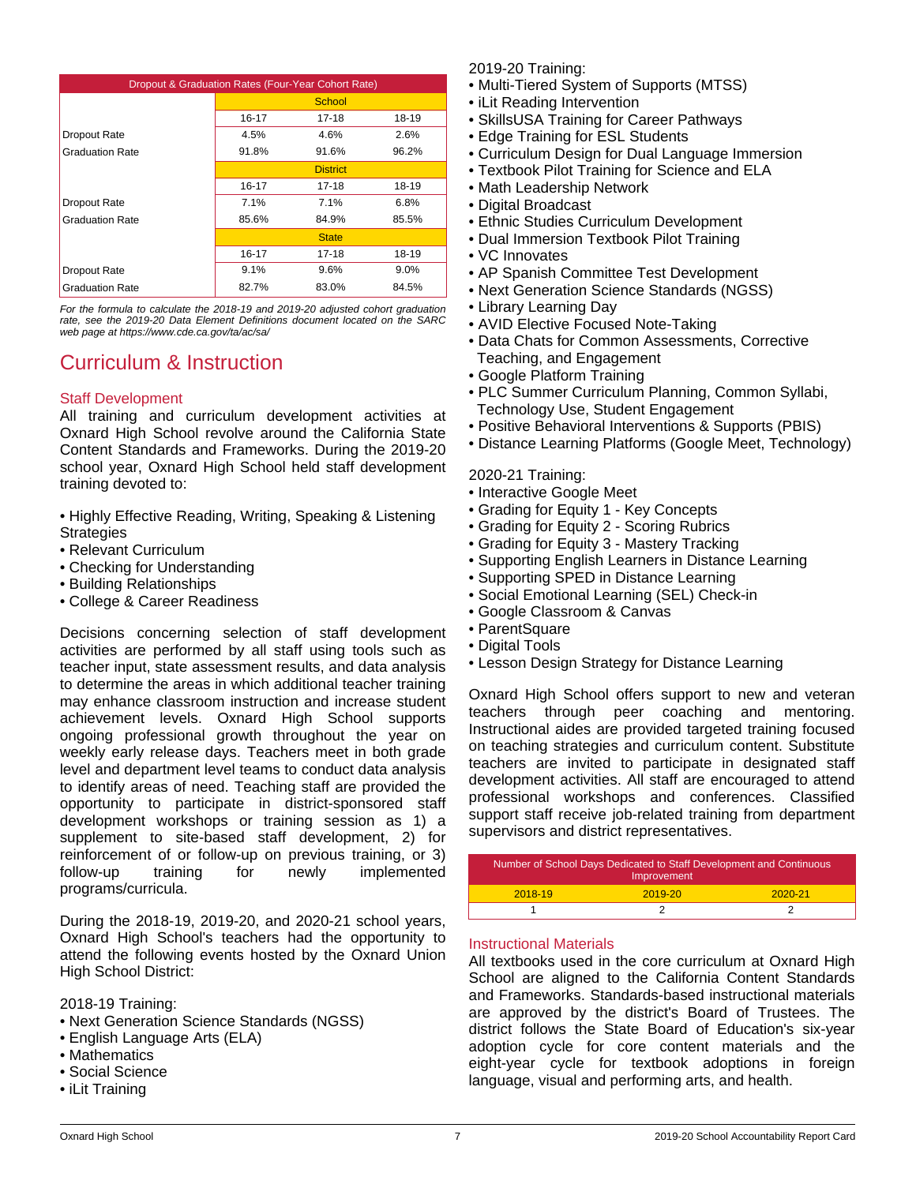| Dropout & Graduation Rates (Four-Year Cohort Rate) |       |                 |       |  |
|----------------------------------------------------|-------|-----------------|-------|--|
|                                                    |       | School          |       |  |
|                                                    | 16-17 | $17 - 18$       | 18-19 |  |
| Dropout Rate                                       | 4.5%  | 4.6%            | 2.6%  |  |
| <b>Graduation Rate</b>                             | 91.8% | 91.6%           | 96.2% |  |
|                                                    |       | <b>District</b> |       |  |
|                                                    | 16-17 | 17-18           | 18-19 |  |
| Dropout Rate                                       | 7.1%  | 7.1%            | 6.8%  |  |
| <b>Graduation Rate</b>                             | 85.6% | 84.9%           | 85.5% |  |
|                                                    |       | <b>State</b>    |       |  |
|                                                    | 16-17 | 17-18           | 18-19 |  |
| Dropout Rate                                       | 9.1%  | 9.6%            | 9.0%  |  |
| <b>Graduation Rate</b>                             | 82.7% | 83.0%           | 84.5% |  |

*For the formula to calculate the 2018-19 and 2019-20 adjusted cohort graduation rate, see the 2019-20 Data Element Definitions document located on the SARC web page at https://www.cde.ca.gov/ta/ac/sa/*

# Curriculum & Instruction

# Staff Development

All training and curriculum development activities at Oxnard High School revolve around the California State Content Standards and Frameworks. During the 2019-20 school year, Oxnard High School held staff development training devoted to:

- Highly Effective Reading, Writing, Speaking & Listening **Strategies**
- Relevant Curriculum
- Checking for Understanding
- Building Relationships
- College & Career Readiness

Decisions concerning selection of staff development activities are performed by all staff using tools such as teacher input, state assessment results, and data analysis to determine the areas in which additional teacher training may enhance classroom instruction and increase student achievement levels. Oxnard High School supports ongoing professional growth throughout the year on weekly early release days. Teachers meet in both grade level and department level teams to conduct data analysis to identify areas of need. Teaching staff are provided the opportunity to participate in district-sponsored staff development workshops or training session as 1) a supplement to site-based staff development, 2) for reinforcement of or follow-up on previous training, or 3) follow-up training for newly implemented programs/curricula.

During the 2018-19, 2019-20, and 2020-21 school years, Oxnard High School's teachers had the opportunity to attend the following events hosted by the Oxnard Union High School District:

2018-19 Training:

- Next Generation Science Standards (NGSS)
- English Language Arts (ELA)
- Mathematics
- Social Science
- iLit Training

2019-20 Training:

- Multi-Tiered System of Supports (MTSS)
- iLit Reading Intervention
- SkillsUSA Training for Career Pathways
- Edge Training for ESL Students
- Curriculum Design for Dual Language Immersion
- Textbook Pilot Training for Science and ELA
- Math Leadership Network
- Digital Broadcast
- Ethnic Studies Curriculum Development
- Dual Immersion Textbook Pilot Training
- VC Innovates
- AP Spanish Committee Test Development
- Next Generation Science Standards (NGSS)
- Library Learning Day
- AVID Elective Focused Note-Taking
- Data Chats for Common Assessments, Corrective Teaching, and Engagement
- Google Platform Training
- PLC Summer Curriculum Planning, Common Syllabi, Technology Use, Student Engagement
- Positive Behavioral Interventions & Supports (PBIS)
- Distance Learning Platforms (Google Meet, Technology)

2020-21 Training:

- Interactive Google Meet
- Grading for Equity 1 Key Concepts
- Grading for Equity 2 Scoring Rubrics
- Grading for Equity 3 Mastery Tracking
- Supporting English Learners in Distance Learning
- Supporting SPED in Distance Learning
- Social Emotional Learning (SEL) Check-in
- Google Classroom & Canvas
- ParentSquare
- Digital Tools
- Lesson Design Strategy for Distance Learning

Oxnard High School offers support to new and veteran teachers through peer coaching and mentoring. Instructional aides are provided targeted training focused on teaching strategies and curriculum content. Substitute teachers are invited to participate in designated staff development activities. All staff are encouraged to attend professional workshops and conferences. Classified support staff receive job-related training from department supervisors and district representatives.

| Number of School Days Dedicated to Staff Development and Continuous<br>Improvement |         |             |  |
|------------------------------------------------------------------------------------|---------|-------------|--|
| 2018-19                                                                            | 2019-20 | $2020 - 21$ |  |
|                                                                                    |         |             |  |

## Instructional Materials

All textbooks used in the core curriculum at Oxnard High School are aligned to the California Content Standards and Frameworks. Standards-based instructional materials are approved by the district's Board of Trustees. The district follows the State Board of Education's six-year adoption cycle for core content materials and the eight-year cycle for textbook adoptions in foreign language, visual and performing arts, and health.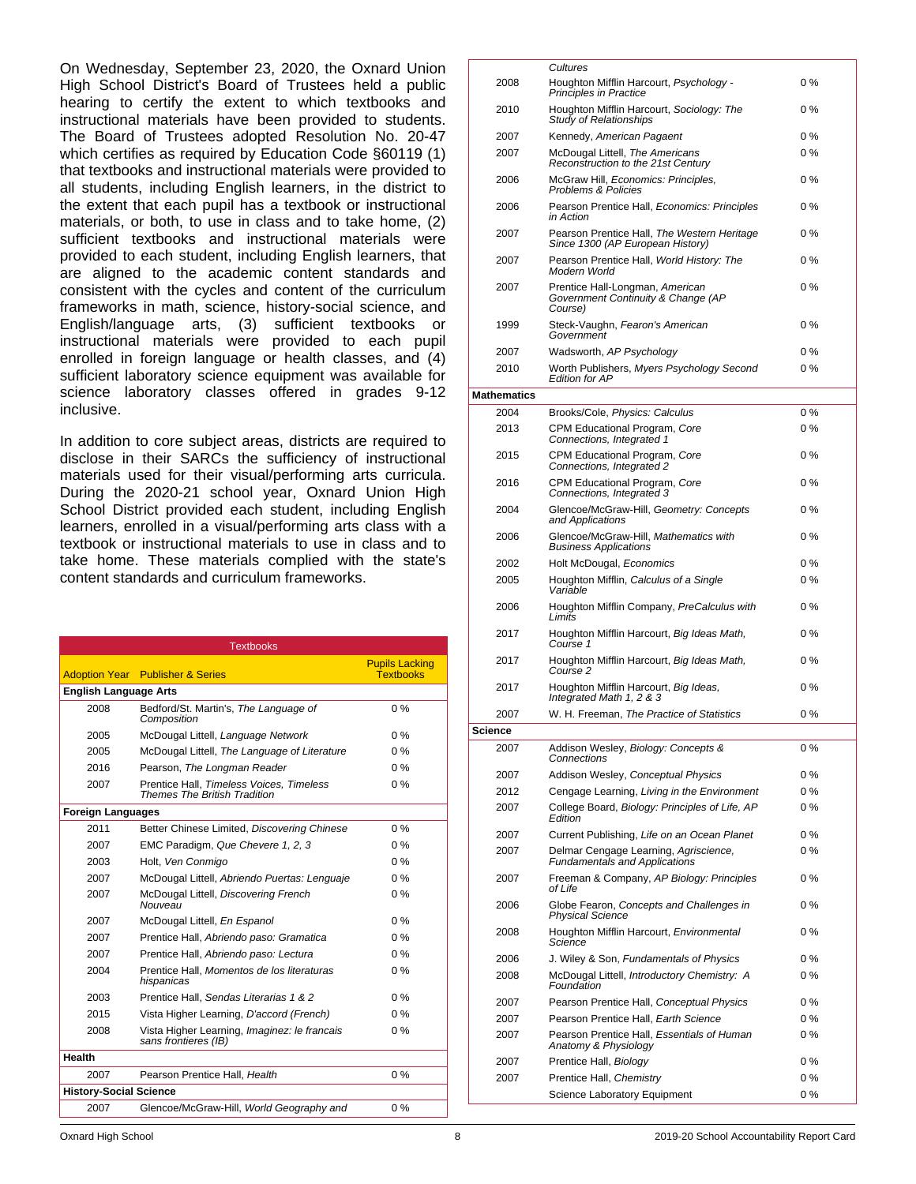On Wednesday, September 23, 2020, the Oxnard Union High School District's Board of Trustees held a public hearing to certify the extent to which textbooks and instructional materials have been provided to students. The Board of Trustees adopted Resolution No. 20-47 which certifies as required by Education Code §60119 (1) that textbooks and instructional materials were provided to all students, including English learners, in the district to the extent that each pupil has a textbook or instructional materials, or both, to use in class and to take home, (2) sufficient textbooks and instructional materials were provided to each student, including English learners, that are aligned to the academic content standards and consistent with the cycles and content of the curriculum frameworks in math, science, history-social science, and English/language arts, (3) sufficient textbooks or instructional materials were provided to each pupil enrolled in foreign language or health classes, and (4) sufficient laboratory science equipment was available for science laboratory classes offered in grades 9-12 inclusive.

In addition to core subject areas, districts are required to disclose in their SARCs the sufficiency of instructional materials used for their visual/performing arts curricula. During the 2020-21 school year, Oxnard Union High School District provided each student, including English learners, enrolled in a visual/performing arts class with a textbook or instructional materials to use in class and to take home. These materials complied with the state's content standards and curriculum frameworks.

|                               | <b>Textbooks</b>                                                                |                                           |
|-------------------------------|---------------------------------------------------------------------------------|-------------------------------------------|
| <b>Adoption Year</b>          | <b>Publisher &amp; Series</b>                                                   | <b>Pupils Lacking</b><br><b>Textbooks</b> |
| <b>English Language Arts</b>  |                                                                                 |                                           |
| 2008                          | Bedford/St. Martin's, The Language of<br>Composition                            | $0\%$                                     |
| 2005                          | McDougal Littell, Language Network                                              | $0\%$                                     |
| 2005                          | McDougal Littell, The Language of Literature                                    | $0\%$                                     |
| 2016                          | Pearson, The Longman Reader                                                     | $0\%$                                     |
| 2007                          | Prentice Hall, Timeless Voices, Timeless<br><b>Themes The British Tradition</b> | $0\%$                                     |
| <b>Foreign Languages</b>      |                                                                                 |                                           |
| 2011                          | Better Chinese Limited, Discovering Chinese                                     | $0\%$                                     |
| 2007                          | EMC Paradigm, Que Chevere 1, 2, 3                                               | $0\%$                                     |
| 2003                          | Holt, Ven Conmigo                                                               | 0 %                                       |
| 2007                          | McDougal Littell, Abriendo Puertas: Lenguaje                                    | $0\%$                                     |
| 2007                          | McDougal Littell, Discovering French<br>Nouveau                                 | $0\%$                                     |
| 2007                          | McDougal Littell, En Espanol                                                    | $0\%$                                     |
| 2007                          | Prentice Hall, Abriendo paso: Gramatica                                         | $0\%$                                     |
| 2007                          | Prentice Hall, Abriendo paso: Lectura                                           | $0\%$                                     |
| 2004                          | Prentice Hall, Momentos de los literaturas<br>hispanicas                        | $0\%$                                     |
| 2003                          | Prentice Hall, Sendas Literarias 1 & 2                                          | $0\%$                                     |
| 2015                          | Vista Higher Learning, D'accord (French)                                        | $0\%$                                     |
| 2008                          | Vista Higher Learning, Imaginez: le francais<br>sans frontieres (IB)            | $0\%$                                     |
| <b>Health</b>                 |                                                                                 |                                           |
| 2007                          | Pearson Prentice Hall, Health                                                   | $0\%$                                     |
| <b>History-Social Science</b> |                                                                                 |                                           |
| 2007                          | Glencoe/McGraw-Hill, World Geography and                                        | $0\%$                                     |
|                               |                                                                                 |                                           |

| 2008               | Cultures<br>Houghton Mifflin Harcourt, Psychology -<br><b>Principles in Practice</b>                                       | 0%           |
|--------------------|----------------------------------------------------------------------------------------------------------------------------|--------------|
| 2010               | Houghton Mifflin Harcourt, Sociology: The<br><b>Study of Relationships</b>                                                 | 0%           |
| 2007               | Kennedy, American Pagaent                                                                                                  | 0%           |
| 2007               | McDougal Littell, The Americans                                                                                            | 0%           |
| 2006               | Reconstruction to the 21st Century<br>McGraw Hill, Economics: Principles,                                                  | $0\%$        |
| 2006               | <b>Problems &amp; Policies</b><br>Pearson Prentice Hall, Economics: Principles                                             | 0%           |
| 2007               | in Action<br>Pearson Prentice Hall, The Western Heritage                                                                   | 0%           |
| 2007               | Since 1300 (AP European History)<br>Pearson Prentice Hall, World History: The                                              | 0%           |
| 2007               | Modern World<br>Prentice Hall-Longman, American<br>Government Continuity & Change (AP                                      | $0\%$        |
| 1999               | Course)<br>Steck-Vaughn, Fearon's American<br>Government                                                                   | 0%           |
| 2007               | Wadsworth, AP Psychology                                                                                                   | 0%           |
| 2010               | Worth Publishers, Myers Psychology Second<br><b>Edition for AP</b>                                                         | 0%           |
| <b>Mathematics</b> |                                                                                                                            |              |
| 2004               | Brooks/Cole, Physics: Calculus                                                                                             | 0%           |
| 2013               | CPM Educational Program, Core<br>Connections, Integrated 1                                                                 | $0\%$        |
| 2015               | CPM Educational Program, Core<br>Connections, Integrated 2                                                                 | 0%           |
| 2016               | CPM Educational Program, Core<br>Connections, Integrated 3                                                                 | 0%           |
| 2004               | Glencoe/McGraw-Hill, Geometry: Concepts<br>and Applications                                                                | 0%           |
| 2006               | Glencoe/McGraw-Hill, Mathematics with<br><b>Business Applications</b>                                                      | $0\%$        |
| 2002               | Holt McDougal, Economics                                                                                                   | $0\%$        |
| 2005               | Houghton Mifflin, Calculus of a Single<br>Variable                                                                         | 0%           |
| 2006               | Houghton Mifflin Company, PreCalculus with<br>Limits                                                                       | 0 %          |
| 2017               | Houghton Mifflin Harcourt, Big Ideas Math,<br>Course 1                                                                     | 0 %          |
| 2017               | Houghton Mifflin Harcourt, Big Ideas Math,<br>Course 2                                                                     | 0 %          |
| 2017               | Houghton Mifflin Harcourt, Big Ideas,<br>Integrated Math 1, 2 & 3                                                          | 0 %          |
| 2007               | W. H. Freeman, The Practice of Statistics                                                                                  | $0\%$        |
| <b>Science</b>     |                                                                                                                            |              |
| 2007               | Addison Wesley, Biology: Concepts &<br>Connections                                                                         | 0 %          |
| 2007               | Addison Wesley, Conceptual Physics                                                                                         | 0 %          |
| 2012               | Cengage Learning, Living in the Environment                                                                                | $0\%$        |
| 2007               | College Board, Biology: Principles of Life, AP<br>Edition                                                                  | 0%           |
| 2007               | Current Publishing, Life on an Ocean Planet                                                                                | $0\%$        |
| 2007<br>2007       | Delmar Cengage Learning, Agriscience,<br><b>Fundamentals and Applications</b><br>Freeman & Company, AP Biology: Principles | $0\%$<br>0 % |
| 2006               | of Life                                                                                                                    | $0\%$        |
|                    | Globe Fearon, Concepts and Challenges in<br><b>Physical Science</b>                                                        |              |
| 2008               | Houghton Mifflin Harcourt, Environmental<br>Science                                                                        | 0 %          |
| 2006               | J. Wiley & Son, Fundamentals of Physics                                                                                    | 0 %          |
| 2008               | McDougal Littell, Introductory Chemistry: A<br>Foundation                                                                  | 0%           |
| 2007               | Pearson Prentice Hall, Conceptual Physics                                                                                  | 0%           |
| 2007               | Pearson Prentice Hall, Earth Science                                                                                       | $0\%$        |
| 2007               | Pearson Prentice Hall, Essentials of Human<br>Anatomy & Physiology                                                         | $0\%$        |
| 2007               | Prentice Hall, Biology                                                                                                     | 0 %          |
| 2007               | Prentice Hall, Chemistry                                                                                                   | 0%           |
|                    | Science Laboratory Equipment                                                                                               | 0%           |
|                    |                                                                                                                            |              |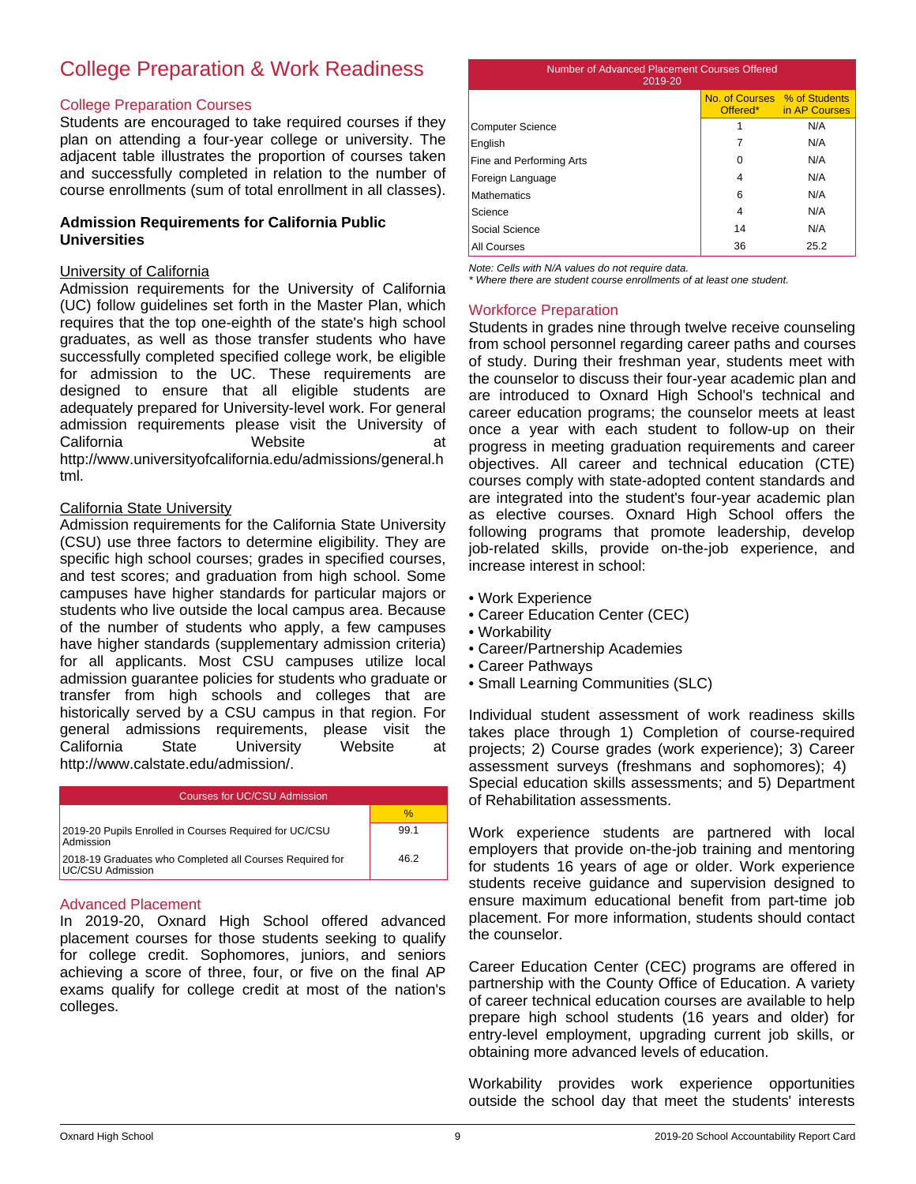# College Preparation & Work Readiness

#### College Preparation Courses

Students are encouraged to take required courses if they plan on attending a four-year college or university. The adjacent table illustrates the proportion of courses taken and successfully completed in relation to the number of course enrollments (sum of total enrollment in all classes).

## **Admission Requirements for California Public Universities**

#### University of California

Admission requirements for the University of California (UC) follow guidelines set forth in the Master Plan, which requires that the top one-eighth of the state's high school graduates, as well as those transfer students who have successfully completed specified college work, be eligible for admission to the UC. These requirements are designed to ensure that all eligible students are adequately prepared for University-level work. For general admission requirements please visit the University of California **Mebsite California** at http://www.universityofcalifornia.edu/admissions/general.h tml.

#### California State University

Admission requirements for the California State University (CSU) use three factors to determine eligibility. They are specific high school courses; grades in specified courses, and test scores; and graduation from high school. Some campuses have higher standards for particular majors or students who live outside the local campus area. Because of the number of students who apply, a few campuses have higher standards (supplementary admission criteria) for all applicants. Most CSU campuses utilize local admission guarantee policies for students who graduate or transfer from high schools and colleges that are historically served by a CSU campus in that region. For general admissions requirements, please visit the California State University Website at http://www.calstate.edu/admission/.

| Courses for UC/CSU Admission                                                 |      |  |
|------------------------------------------------------------------------------|------|--|
|                                                                              | $\%$ |  |
| 2019-20 Pupils Enrolled in Courses Required for UC/CSU<br>Admission          | 99.1 |  |
| 2018-19 Graduates who Completed all Courses Required for<br>UC/CSU Admission | 46.2 |  |

## Advanced Placement

In 2019-20, Oxnard High School offered advanced placement courses for those students seeking to qualify for college credit. Sophomores, juniors, and seniors achieving a score of three, four, or five on the final AP exams qualify for college credit at most of the nation's colleges.

| Number of Advanced Placement Courses Offered<br>2019-20            |    |      |  |  |  |
|--------------------------------------------------------------------|----|------|--|--|--|
| No. of Courses % of Students<br>Offered <sup>*</sup> in AP Courses |    |      |  |  |  |
| Computer Science                                                   | 1  | N/A  |  |  |  |
| English                                                            | 7  | N/A  |  |  |  |
| Fine and Performing Arts                                           | 0  | N/A  |  |  |  |
| Foreign Language                                                   | 4  | N/A  |  |  |  |
| <b>Mathematics</b>                                                 | 6  | N/A  |  |  |  |
| Science                                                            | 4  | N/A  |  |  |  |
| Social Science                                                     | 14 | N/A  |  |  |  |
| All Courses                                                        | 36 | 25.2 |  |  |  |

*Note: Cells with N/A values do not require data.*

*\* Where there are student course enrollments of at least one student.*

## Workforce Preparation

Students in grades nine through twelve receive counseling from school personnel regarding career paths and courses of study. During their freshman year, students meet with the counselor to discuss their four-year academic plan and are introduced to Oxnard High School's technical and career education programs; the counselor meets at least once a year with each student to follow-up on their progress in meeting graduation requirements and career objectives. All career and technical education (CTE) courses comply with state-adopted content standards and are integrated into the student's four-year academic plan as elective courses. Oxnard High School offers the following programs that promote leadership, develop job-related skills, provide on-the-job experience, and increase interest in school:

- Work Experience
- Career Education Center (CEC)
- Workability
- Career/Partnership Academies
- Career Pathways
- Small Learning Communities (SLC)

Individual student assessment of work readiness skills takes place through 1) Completion of course-required projects; 2) Course grades (work experience); 3) Career assessment surveys (freshmans and sophomores); 4) Special education skills assessments; and 5) Department of Rehabilitation assessments.

Work experience students are partnered with local employers that provide on-the-job training and mentoring for students 16 years of age or older. Work experience students receive guidance and supervision designed to ensure maximum educational benefit from part-time job placement. For more information, students should contact the counselor.

Career Education Center (CEC) programs are offered in partnership with the County Office of Education. A variety of career technical education courses are available to help prepare high school students (16 years and older) for entry-level employment, upgrading current job skills, or obtaining more advanced levels of education.

Workability provides work experience opportunities outside the school day that meet the students' interests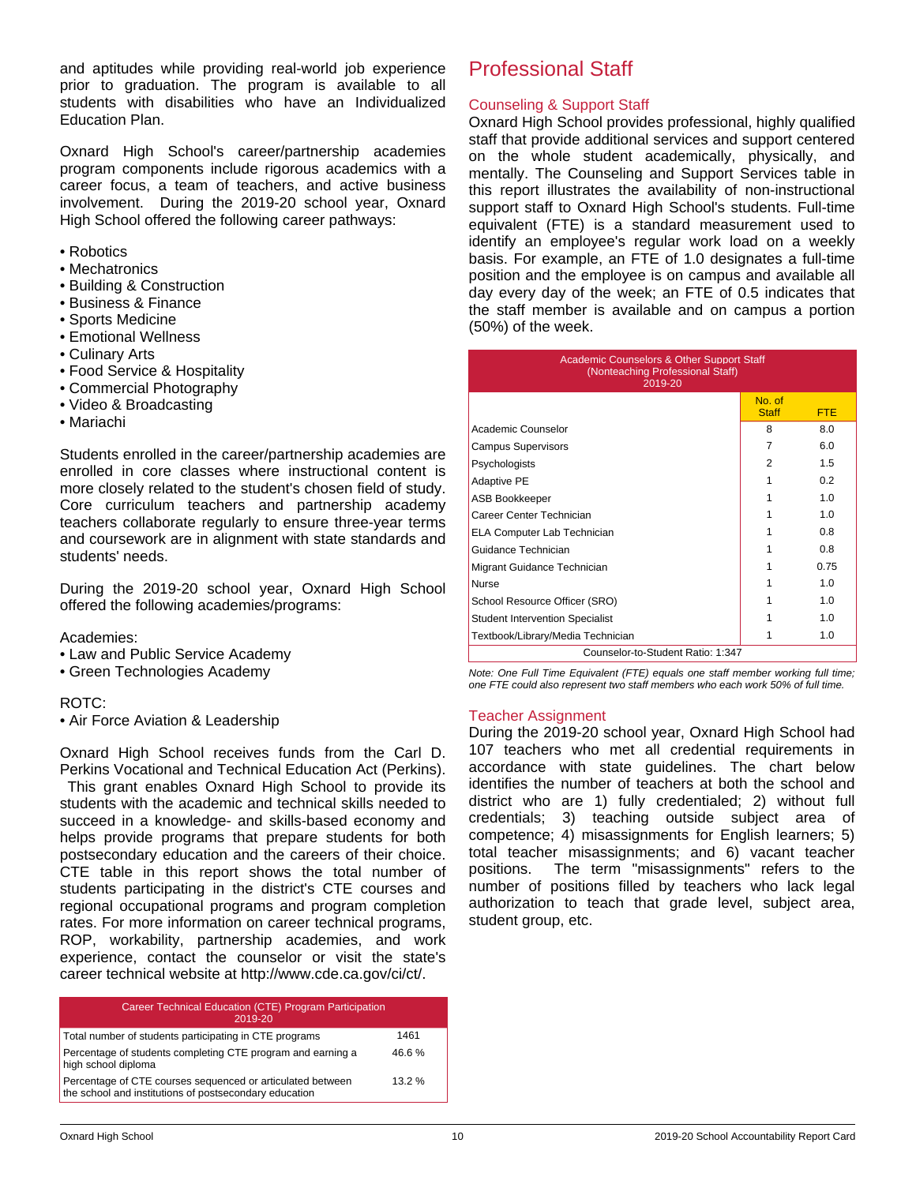and aptitudes while providing real-world job experience prior to graduation. The program is available to all students with disabilities who have an Individualized Education Plan.

Oxnard High School's career/partnership academies program components include rigorous academics with a career focus, a team of teachers, and active business involvement. During the 2019-20 school year, Oxnard High School offered the following career pathways:

- Robotics
- Mechatronics
- Building & Construction
- Business & Finance
- Sports Medicine
- Emotional Wellness
- Culinary Arts
- Food Service & Hospitality
- Commercial Photography
- Video & Broadcasting
- Mariachi

Students enrolled in the career/partnership academies are enrolled in core classes where instructional content is more closely related to the student's chosen field of study. Core curriculum teachers and partnership academy teachers collaborate regularly to ensure three-year terms and coursework are in alignment with state standards and students' needs.

During the 2019-20 school year, Oxnard High School offered the following academies/programs:

## Academies:

- Law and Public Service Academy
- Green Technologies Academy

## ROTC:

• Air Force Aviation & Leadership

Oxnard High School receives funds from the Carl D. Perkins Vocational and Technical Education Act (Perkins).

 This grant enables Oxnard High School to provide its students with the academic and technical skills needed to succeed in a knowledge- and skills-based economy and helps provide programs that prepare students for both postsecondary education and the careers of their choice. CTE table in this report shows the total number of students participating in the district's CTE courses and regional occupational programs and program completion rates. For more information on career technical programs, ROP, workability, partnership academies, and work experience, contact the counselor or visit the state's career technical website at http://www.cde.ca.gov/ci/ct/.

| Career Technical Education (CTE) Program Participation<br>2019-20                                                    |       |
|----------------------------------------------------------------------------------------------------------------------|-------|
| Total number of students participating in CTE programs                                                               | 1461  |
| Percentage of students completing CTE program and earning a<br>high school diploma                                   | 46.6% |
| Percentage of CTE courses sequenced or articulated between<br>the school and institutions of postsecondary education | 13.2% |

# Professional Staff

# Counseling & Support Staff

Oxnard High School provides professional, highly qualified staff that provide additional services and support centered on the whole student academically, physically, and mentally. The Counseling and Support Services table in this report illustrates the availability of non-instructional support staff to Oxnard High School's students. Full-time equivalent (FTE) is a standard measurement used to identify an employee's regular work load on a weekly basis. For example, an FTE of 1.0 designates a full-time position and the employee is on campus and available all day every day of the week; an FTE of 0.5 indicates that the staff member is available and on campus a portion (50%) of the week.

| <b>Academic Counselors &amp; Other Support Staff</b><br>(Nonteaching Professional Staff)<br>2019-20 |                        |                |  |
|-----------------------------------------------------------------------------------------------------|------------------------|----------------|--|
|                                                                                                     | No. of<br><b>Staff</b> | <b>FTE</b>     |  |
| Academic Counselor                                                                                  | 8                      | 8.0            |  |
| <b>Campus Supervisors</b>                                                                           | 7                      | 6.0            |  |
| Psychologists                                                                                       | 2                      | 1.5            |  |
| <b>Adaptive PE</b>                                                                                  | 1                      | 02             |  |
| <b>ASB Bookkeeper</b>                                                                               | 1                      | 1.0            |  |
| Career Center Technician                                                                            |                        | 1.0            |  |
| ELA Computer Lab Technician                                                                         |                        | 0.8            |  |
| Guidance Technician                                                                                 |                        | 0.8            |  |
| Migrant Guidance Technician                                                                         |                        | 0.75           |  |
| <b>Nurse</b>                                                                                        |                        | 1 <sub>0</sub> |  |
| School Resource Officer (SRO)                                                                       |                        | 1.0            |  |
| <b>Student Intervention Specialist</b>                                                              |                        | 1.0            |  |
| Textbook/Library/Media Technician                                                                   |                        | 1.0            |  |
| Counselor-to-Student Ratio: 1:347                                                                   |                        |                |  |

*Note: One Full Time Equivalent (FTE) equals one staff member working full time; one FTE could also represent two staff members who each work 50% of full time.*

## Teacher Assignment

During the 2019-20 school year, Oxnard High School had 107 teachers who met all credential requirements in accordance with state guidelines. The chart below identifies the number of teachers at both the school and district who are 1) fully credentialed; 2) without full credentials; 3) teaching outside subject area of competence; 4) misassignments for English learners; 5) total teacher misassignments; and 6) vacant teacher positions. The term "misassignments" refers to the number of positions filled by teachers who lack legal authorization to teach that grade level, subject area, student group, etc.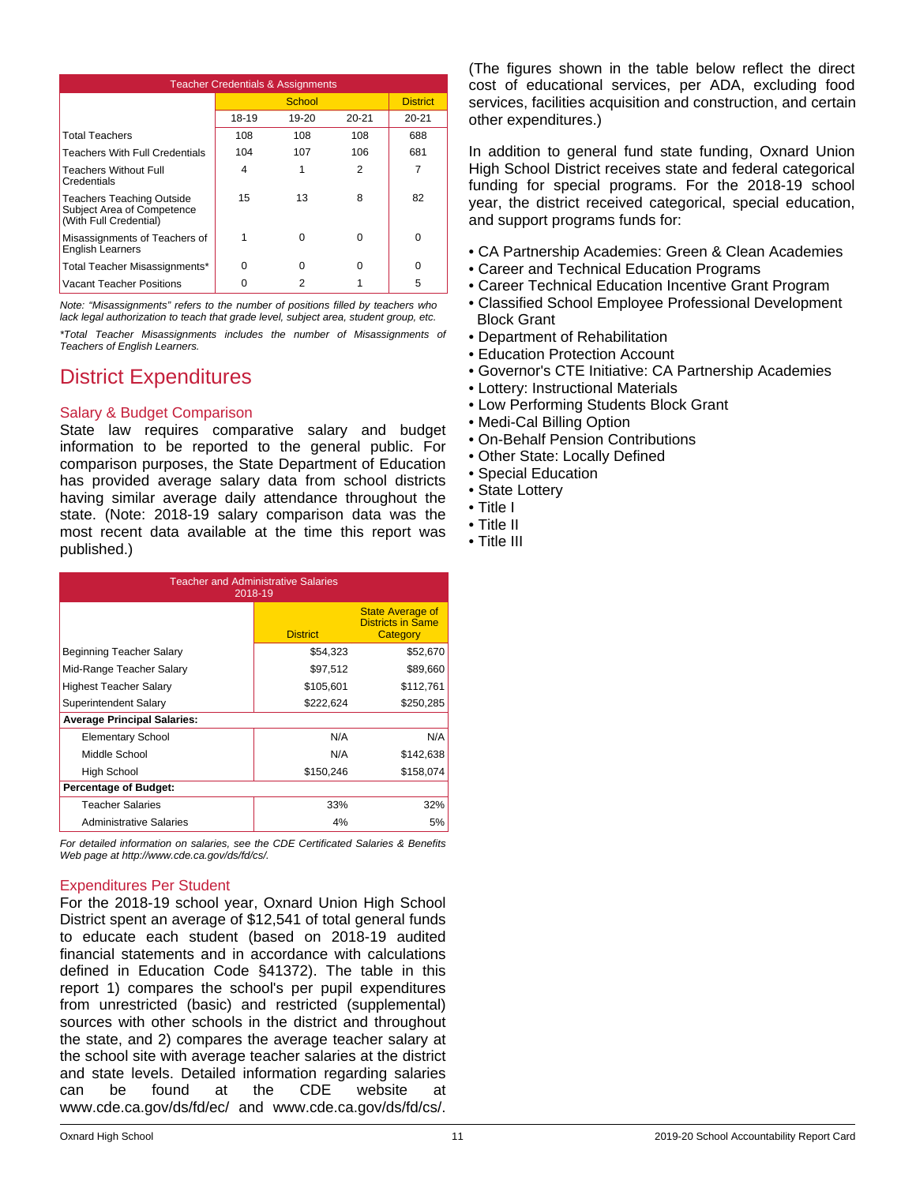| <b>Teacher Credentials &amp; Assignments</b>                                             |       |        |           |                 |
|------------------------------------------------------------------------------------------|-------|--------|-----------|-----------------|
|                                                                                          |       | School |           | <b>District</b> |
|                                                                                          | 18-19 | 19-20  | $20 - 21$ | $20 - 21$       |
| <b>Total Teachers</b>                                                                    | 108   | 108    | 108       | 688             |
| <b>Teachers With Full Credentials</b>                                                    | 104   | 107    | 106       | 681             |
| <b>Teachers Without Full</b><br>Credentials                                              | 4     |        | 2         | 7               |
| <b>Teachers Teaching Outside</b><br>Subject Area of Competence<br>(With Full Credential) | 15    | 13     | 8         | 82              |
| Misassignments of Teachers of<br><b>English Learners</b>                                 |       | ∩      | 0         | ŋ               |
| Total Teacher Misassignments*                                                            | n     | ŋ      | 0         | ŋ               |
| Vacant Teacher Positions                                                                 |       |        |           | 5               |

*Note: "Misassignments" refers to the number of positions filled by teachers who lack legal authorization to teach that grade level, subject area, student group, etc.*

*\*Total Teacher Misassignments includes the number of Misassignments of Teachers of English Learners.*

# District Expenditures

# Salary & Budget Comparison

State law requires comparative salary and budget information to be reported to the general public. For comparison purposes, the State Department of Education has provided average salary data from school districts having similar average daily attendance throughout the state. (Note: 2018-19 salary comparison data was the most recent data available at the time this report was published.)

| <b>Teacher and Administrative Salaries</b><br>2018-19 |                 |                                                                 |  |  |
|-------------------------------------------------------|-----------------|-----------------------------------------------------------------|--|--|
|                                                       | <b>District</b> | <b>State Average of</b><br><b>Districts in Same</b><br>Category |  |  |
| Beginning Teacher Salary                              | \$54,323        | \$52,670                                                        |  |  |
| Mid-Range Teacher Salary                              | \$97,512        | \$89,660                                                        |  |  |
| Highest Teacher Salary                                | \$105,601       | \$112,761                                                       |  |  |
| Superintendent Salary                                 | \$222,624       | \$250,285                                                       |  |  |
| <b>Average Principal Salaries:</b>                    |                 |                                                                 |  |  |
| <b>Elementary School</b>                              | N/A             | N/A                                                             |  |  |
| Middle School                                         | N/A             | \$142,638                                                       |  |  |
| <b>High School</b>                                    | \$150,246       | \$158,074                                                       |  |  |
| <b>Percentage of Budget:</b>                          |                 |                                                                 |  |  |
| <b>Teacher Salaries</b>                               | 33%             | 32%                                                             |  |  |
| <b>Administrative Salaries</b>                        | 4%              | 5%                                                              |  |  |

*For detailed information on salaries, see the CDE Certificated Salaries & Benefits Web page at http://www.cde.ca.gov/ds/fd/cs/.*

## Expenditures Per Student

For the 2018-19 school year, Oxnard Union High School District spent an average of \$12,541 of total general funds to educate each student (based on 2018-19 audited financial statements and in accordance with calculations defined in Education Code §41372). The table in this report 1) compares the school's per pupil expenditures from unrestricted (basic) and restricted (supplemental) sources with other schools in the district and throughout the state, and 2) compares the average teacher salary at the school site with average teacher salaries at the district and state levels. Detailed information regarding salaries can be found at the CDE website at www.cde.ca.gov/ds/fd/ec/ and www.cde.ca.gov/ds/fd/cs/.

(The figures shown in the table below reflect the direct cost of educational services, per ADA, excluding food services, facilities acquisition and construction, and certain other expenditures.)

In addition to general fund state funding, Oxnard Union High School District receives state and federal categorical funding for special programs. For the 2018-19 school year, the district received categorical, special education, and support programs funds for:

- CA Partnership Academies: Green & Clean Academies
- Career and Technical Education Programs
- Career Technical Education Incentive Grant Program
- Classified School Employee Professional Development Block Grant
- Department of Rehabilitation
- Education Protection Account
- Governor's CTE Initiative: CA Partnership Academies
- Lottery: Instructional Materials
- Low Performing Students Block Grant
- Medi-Cal Billing Option
- On-Behalf Pension Contributions
- Other State: Locally Defined
- Special Education
- State Lottery
- Title I
- Title II
- Title III